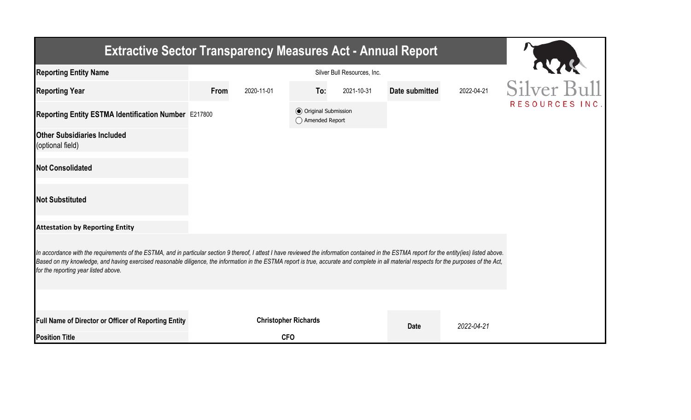| <b>Extractive Sector Transparency Measures Act - Annual Report</b>                                                                                                                                                                                                                                                                                                                                                                    |                             |                                                  |                       |            |               |  |  |  |  |  |
|---------------------------------------------------------------------------------------------------------------------------------------------------------------------------------------------------------------------------------------------------------------------------------------------------------------------------------------------------------------------------------------------------------------------------------------|-----------------------------|--------------------------------------------------|-----------------------|------------|---------------|--|--|--|--|--|
| <b>Reporting Entity Name</b>                                                                                                                                                                                                                                                                                                                                                                                                          | Silver Bull Resources, Inc. |                                                  |                       |            |               |  |  |  |  |  |
| <b>Reporting Year</b>                                                                                                                                                                                                                                                                                                                                                                                                                 | From<br>2020-11-01          | To:<br>2021-10-31                                | <b>Date submitted</b> | 2022-04-21 | Silver Bull   |  |  |  |  |  |
| Reporting Entity ESTMA Identification Number E217800                                                                                                                                                                                                                                                                                                                                                                                  |                             | <b>◎</b> Original Submission<br>◯ Amended Report |                       |            | RESOURCES INC |  |  |  |  |  |
| <b>Other Subsidiaries Included</b><br>(optional field)                                                                                                                                                                                                                                                                                                                                                                                |                             |                                                  |                       |            |               |  |  |  |  |  |
| <b>Not Consolidated</b>                                                                                                                                                                                                                                                                                                                                                                                                               |                             |                                                  |                       |            |               |  |  |  |  |  |
| <b>Not Substituted</b>                                                                                                                                                                                                                                                                                                                                                                                                                |                             |                                                  |                       |            |               |  |  |  |  |  |
| <b>Attestation by Reporting Entity</b>                                                                                                                                                                                                                                                                                                                                                                                                |                             |                                                  |                       |            |               |  |  |  |  |  |
| In accordance with the requirements of the ESTMA, and in particular section 9 thereof, I attest I have reviewed the information contained in the ESTMA report for the entity(ies) listed above.<br>Based on my knowledge, and having exercised reasonable diligence, the information in the ESTMA report is true, accurate and complete in all material respects for the purposes of the Act,<br>for the reporting year listed above. |                             |                                                  |                       |            |               |  |  |  |  |  |
|                                                                                                                                                                                                                                                                                                                                                                                                                                       |                             |                                                  |                       |            |               |  |  |  |  |  |
| Full Name of Director or Officer of Reporting Entity                                                                                                                                                                                                                                                                                                                                                                                  |                             | <b>Christopher Richards</b>                      | <b>Date</b>           | 2022-04-21 |               |  |  |  |  |  |
| <b>Position Title</b>                                                                                                                                                                                                                                                                                                                                                                                                                 |                             | <b>CFO</b>                                       |                       |            |               |  |  |  |  |  |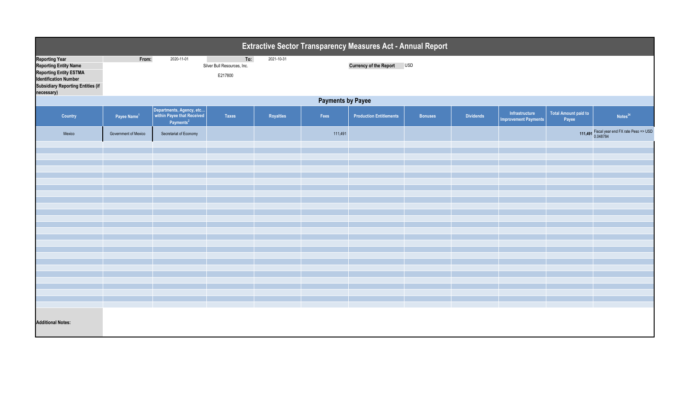| Extractive Sector Transparency Measures Act - Annual Report                                                                                                                      |                          |                                                                                 |                                               |            |         |                                |                |                  |                                               |                               |                                                           |  |
|----------------------------------------------------------------------------------------------------------------------------------------------------------------------------------|--------------------------|---------------------------------------------------------------------------------|-----------------------------------------------|------------|---------|--------------------------------|----------------|------------------|-----------------------------------------------|-------------------------------|-----------------------------------------------------------|--|
| <b>Reporting Year</b><br><b>Reporting Entity Name</b><br><b>Reporting Entity ESTMA</b><br><b>Identification Number</b><br><b>Subsidiary Reporting Entities (if</b><br>necessary) | From:                    | 2020-11-01                                                                      | To:<br>Silver Bull Resources, Inc.<br>E217800 | 2021-10-31 |         | Currency of the Report USD     |                |                  |                                               |                               |                                                           |  |
|                                                                                                                                                                                  | <b>Payments by Payee</b> |                                                                                 |                                               |            |         |                                |                |                  |                                               |                               |                                                           |  |
| Country                                                                                                                                                                          | Payee Name <sup>1</sup>  | Departments, Agency, etc<br>within Payee that Received<br>Payments <sup>2</sup> | <b>Taxes</b>                                  | Royalties  | Fees    | <b>Production Entitlements</b> | <b>Bonuses</b> | <b>Dividends</b> | Infrastructure<br><b>Improvement Payments</b> | Total Amount paid to<br>Payee | Notes <sup>34</sup>                                       |  |
| Mexico                                                                                                                                                                           | Government of Mexico     | Secretariat of Economy                                                          |                                               |            | 111,491 |                                |                |                  |                                               |                               | 111,491 Fiscal year end FX rate Peso => USD<br>$0.048784$ |  |
|                                                                                                                                                                                  |                          |                                                                                 |                                               |            |         |                                |                |                  |                                               |                               |                                                           |  |
|                                                                                                                                                                                  |                          |                                                                                 |                                               |            |         |                                |                |                  |                                               |                               |                                                           |  |
|                                                                                                                                                                                  |                          |                                                                                 |                                               |            |         |                                |                |                  |                                               |                               |                                                           |  |
|                                                                                                                                                                                  |                          |                                                                                 |                                               |            |         |                                |                |                  |                                               |                               |                                                           |  |
|                                                                                                                                                                                  |                          |                                                                                 |                                               |            |         |                                |                |                  |                                               |                               |                                                           |  |
|                                                                                                                                                                                  |                          |                                                                                 |                                               |            |         |                                |                |                  |                                               |                               |                                                           |  |
|                                                                                                                                                                                  |                          |                                                                                 |                                               |            |         |                                |                |                  |                                               |                               |                                                           |  |
|                                                                                                                                                                                  |                          |                                                                                 |                                               |            |         |                                |                |                  |                                               |                               |                                                           |  |
|                                                                                                                                                                                  |                          |                                                                                 |                                               |            |         |                                |                |                  |                                               |                               |                                                           |  |
|                                                                                                                                                                                  |                          |                                                                                 |                                               |            |         |                                |                |                  |                                               |                               |                                                           |  |
|                                                                                                                                                                                  |                          |                                                                                 |                                               |            |         |                                |                |                  |                                               |                               |                                                           |  |
|                                                                                                                                                                                  |                          |                                                                                 |                                               |            |         |                                |                |                  |                                               |                               |                                                           |  |
|                                                                                                                                                                                  |                          |                                                                                 |                                               |            |         |                                |                |                  |                                               |                               |                                                           |  |
|                                                                                                                                                                                  |                          |                                                                                 |                                               |            |         |                                |                |                  |                                               |                               |                                                           |  |
|                                                                                                                                                                                  |                          |                                                                                 |                                               |            |         |                                |                |                  |                                               |                               |                                                           |  |
|                                                                                                                                                                                  |                          |                                                                                 |                                               |            |         |                                |                |                  |                                               |                               |                                                           |  |
|                                                                                                                                                                                  |                          |                                                                                 |                                               |            |         |                                |                |                  |                                               |                               |                                                           |  |
|                                                                                                                                                                                  |                          |                                                                                 |                                               |            |         |                                |                |                  |                                               |                               |                                                           |  |
| <b>Additional Notes:</b>                                                                                                                                                         |                          |                                                                                 |                                               |            |         |                                |                |                  |                                               |                               |                                                           |  |